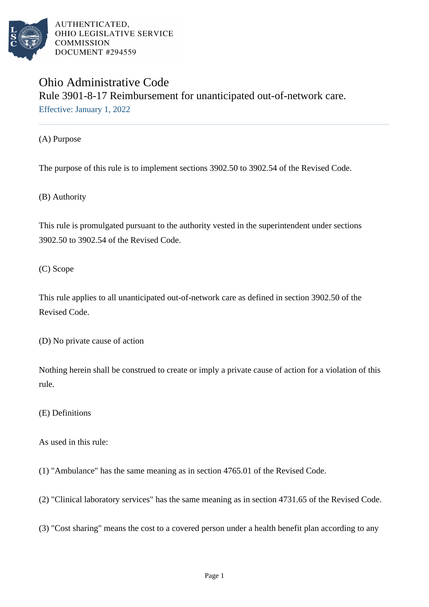

## Ohio Administrative Code Rule 3901-8-17 Reimbursement for unanticipated out-of-network care. Effective: January 1, 2022

(A) Purpose

The purpose of this rule is to implement sections 3902.50 to 3902.54 of the Revised Code.

(B) Authority

This rule is promulgated pursuant to the authority vested in the superintendent under sections 3902.50 to 3902.54 of the Revised Code.

(C) Scope

This rule applies to all unanticipated out-of-network care as defined in section 3902.50 of the Revised Code.

(D) No private cause of action

Nothing herein shall be construed to create or imply a private cause of action for a violation of this rule.

(E) Definitions

As used in this rule:

(1) "Ambulance" has the same meaning as in section 4765.01 of the Revised Code.

(2) "Clinical laboratory services" has the same meaning as in section 4731.65 of the Revised Code.

(3) "Cost sharing" means the cost to a covered person under a health benefit plan according to any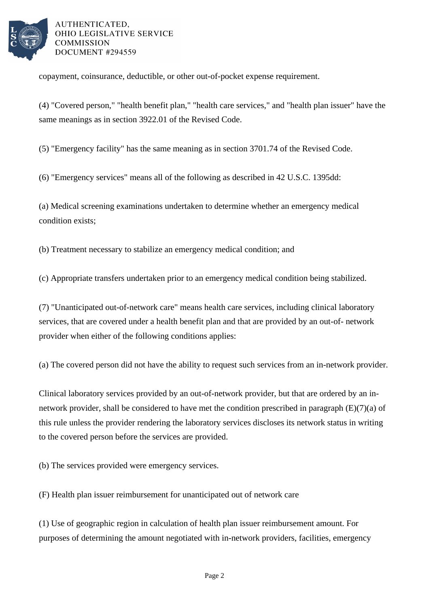

copayment, coinsurance, deductible, or other out-of-pocket expense requirement.

(4) "Covered person," "health benefit plan," "health care services," and "health plan issuer" have the same meanings as in section 3922.01 of the Revised Code.

(5) "Emergency facility" has the same meaning as in section 3701.74 of the Revised Code.

(6) "Emergency services" means all of the following as described in 42 U.S.C. 1395dd:

(a) Medical screening examinations undertaken to determine whether an emergency medical condition exists;

(b) Treatment necessary to stabilize an emergency medical condition; and

(c) Appropriate transfers undertaken prior to an emergency medical condition being stabilized.

(7) "Unanticipated out-of-network care" means health care services, including clinical laboratory services, that are covered under a health benefit plan and that are provided by an out-of- network provider when either of the following conditions applies:

(a) The covered person did not have the ability to request such services from an in-network provider.

Clinical laboratory services provided by an out-of-network provider, but that are ordered by an innetwork provider, shall be considered to have met the condition prescribed in paragraph (E)(7)(a) of this rule unless the provider rendering the laboratory services discloses its network status in writing to the covered person before the services are provided.

(b) The services provided were emergency services.

(F) Health plan issuer reimbursement for unanticipated out of network care

(1) Use of geographic region in calculation of health plan issuer reimbursement amount. For purposes of determining the amount negotiated with in-network providers, facilities, emergency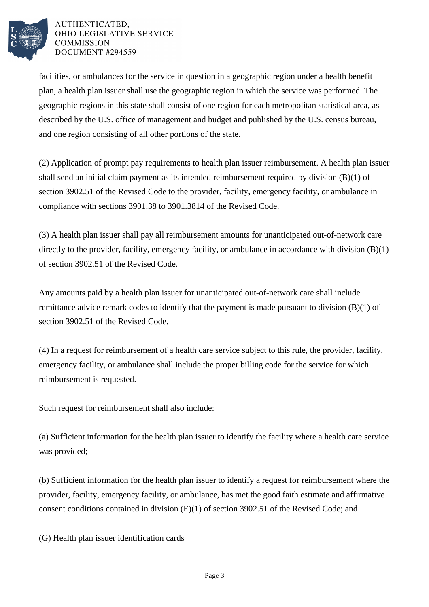

facilities, or ambulances for the service in question in a geographic region under a health benefit plan, a health plan issuer shall use the geographic region in which the service was performed. The geographic regions in this state shall consist of one region for each metropolitan statistical area, as described by the U.S. office of management and budget and published by the U.S. census bureau, and one region consisting of all other portions of the state.

(2) Application of prompt pay requirements to health plan issuer reimbursement. A health plan issuer shall send an initial claim payment as its intended reimbursement required by division (B)(1) of section 3902.51 of the Revised Code to the provider, facility, emergency facility, or ambulance in compliance with sections 3901.38 to 3901.3814 of the Revised Code.

(3) A health plan issuer shall pay all reimbursement amounts for unanticipated out-of-network care directly to the provider, facility, emergency facility, or ambulance in accordance with division (B)(1) of section 3902.51 of the Revised Code.

Any amounts paid by a health plan issuer for unanticipated out-of-network care shall include remittance advice remark codes to identify that the payment is made pursuant to division  $(B)(1)$  of section 3902.51 of the Revised Code.

(4) In a request for reimbursement of a health care service subject to this rule, the provider, facility, emergency facility, or ambulance shall include the proper billing code for the service for which reimbursement is requested.

Such request for reimbursement shall also include:

(a) Sufficient information for the health plan issuer to identify the facility where a health care service was provided;

(b) Sufficient information for the health plan issuer to identify a request for reimbursement where the provider, facility, emergency facility, or ambulance, has met the good faith estimate and affirmative consent conditions contained in division (E)(1) of section 3902.51 of the Revised Code; and

(G) Health plan issuer identification cards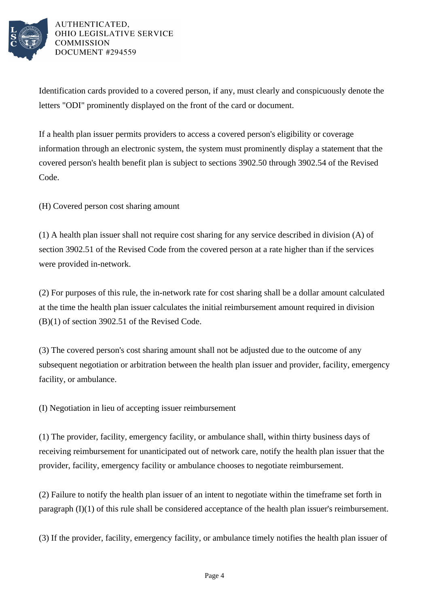

Identification cards provided to a covered person, if any, must clearly and conspicuously denote the letters "ODI" prominently displayed on the front of the card or document.

If a health plan issuer permits providers to access a covered person's eligibility or coverage information through an electronic system, the system must prominently display a statement that the covered person's health benefit plan is subject to sections 3902.50 through 3902.54 of the Revised Code.

(H) Covered person cost sharing amount

(1) A health plan issuer shall not require cost sharing for any service described in division (A) of section 3902.51 of the Revised Code from the covered person at a rate higher than if the services were provided in-network.

(2) For purposes of this rule, the in-network rate for cost sharing shall be a dollar amount calculated at the time the health plan issuer calculates the initial reimbursement amount required in division (B)(1) of section 3902.51 of the Revised Code.

(3) The covered person's cost sharing amount shall not be adjusted due to the outcome of any subsequent negotiation or arbitration between the health plan issuer and provider, facility, emergency facility, or ambulance.

(I) Negotiation in lieu of accepting issuer reimbursement

(1) The provider, facility, emergency facility, or ambulance shall, within thirty business days of receiving reimbursement for unanticipated out of network care, notify the health plan issuer that the provider, facility, emergency facility or ambulance chooses to negotiate reimbursement.

(2) Failure to notify the health plan issuer of an intent to negotiate within the timeframe set forth in paragraph (I)(1) of this rule shall be considered acceptance of the health plan issuer's reimbursement.

(3) If the provider, facility, emergency facility, or ambulance timely notifies the health plan issuer of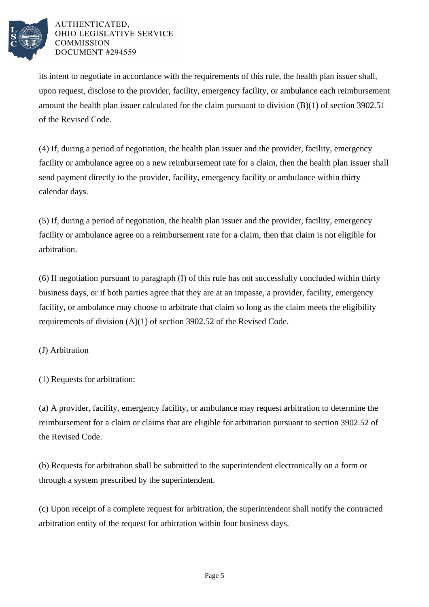

its intent to negotiate in accordance with the requirements of this rule, the health plan issuer shall, upon request, disclose to the provider, facility, emergency facility, or ambulance each reimbursement amount the health plan issuer calculated for the claim pursuant to division (B)(1) of section 3902.51 of the Revised Code.

(4) If, during a period of negotiation, the health plan issuer and the provider, facility, emergency facility or ambulance agree on a new reimbursement rate for a claim, then the health plan issuer shall send payment directly to the provider, facility, emergency facility or ambulance within thirty calendar days.

(5) If, during a period of negotiation, the health plan issuer and the provider, facility, emergency facility or ambulance agree on a reimbursement rate for a claim, then that claim is not eligible for arbitration.

(6) If negotiation pursuant to paragraph (I) of this rule has not successfully concluded within thirty business days, or if both parties agree that they are at an impasse, a provider, facility, emergency facility, or ambulance may choose to arbitrate that claim so long as the claim meets the eligibility requirements of division (A)(1) of section 3902.52 of the Revised Code.

## (J) Arbitration

(1) Requests for arbitration:

(a) A provider, facility, emergency facility, or ambulance may request arbitration to determine the reimbursement for a claim or claims that are eligible for arbitration pursuant to section 3902.52 of the Revised Code.

(b) Requests for arbitration shall be submitted to the superintendent electronically on a form or through a system prescribed by the superintendent.

(c) Upon receipt of a complete request for arbitration, the superintendent shall notify the contracted arbitration entity of the request for arbitration within four business days.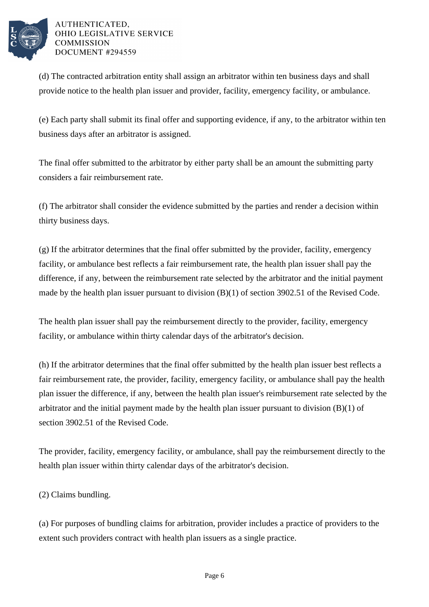

(d) The contracted arbitration entity shall assign an arbitrator within ten business days and shall provide notice to the health plan issuer and provider, facility, emergency facility, or ambulance.

(e) Each party shall submit its final offer and supporting evidence, if any, to the arbitrator within ten business days after an arbitrator is assigned.

The final offer submitted to the arbitrator by either party shall be an amount the submitting party considers a fair reimbursement rate.

(f) The arbitrator shall consider the evidence submitted by the parties and render a decision within thirty business days.

(g) If the arbitrator determines that the final offer submitted by the provider, facility, emergency facility, or ambulance best reflects a fair reimbursement rate, the health plan issuer shall pay the difference, if any, between the reimbursement rate selected by the arbitrator and the initial payment made by the health plan issuer pursuant to division (B)(1) of section 3902.51 of the Revised Code.

The health plan issuer shall pay the reimbursement directly to the provider, facility, emergency facility, or ambulance within thirty calendar days of the arbitrator's decision.

(h) If the arbitrator determines that the final offer submitted by the health plan issuer best reflects a fair reimbursement rate, the provider, facility, emergency facility, or ambulance shall pay the health plan issuer the difference, if any, between the health plan issuer's reimbursement rate selected by the arbitrator and the initial payment made by the health plan issuer pursuant to division (B)(1) of section 3902.51 of the Revised Code.

The provider, facility, emergency facility, or ambulance, shall pay the reimbursement directly to the health plan issuer within thirty calendar days of the arbitrator's decision.

(2) Claims bundling.

(a) For purposes of bundling claims for arbitration, provider includes a practice of providers to the extent such providers contract with health plan issuers as a single practice.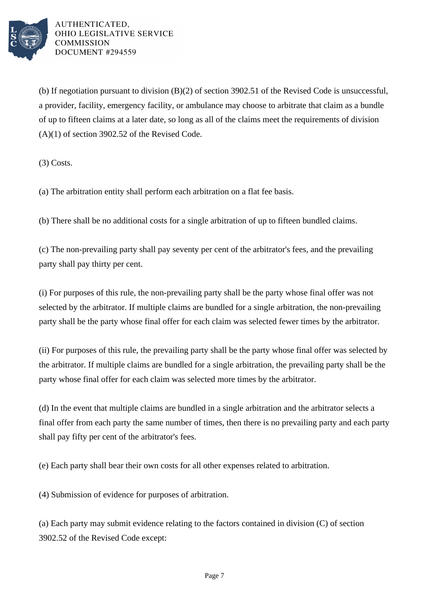

(b) If negotiation pursuant to division (B)(2) of section 3902.51 of the Revised Code is unsuccessful, a provider, facility, emergency facility, or ambulance may choose to arbitrate that claim as a bundle of up to fifteen claims at a later date, so long as all of the claims meet the requirements of division (A)(1) of section 3902.52 of the Revised Code.

(3) Costs.

(a) The arbitration entity shall perform each arbitration on a flat fee basis.

(b) There shall be no additional costs for a single arbitration of up to fifteen bundled claims.

(c) The non-prevailing party shall pay seventy per cent of the arbitrator's fees, and the prevailing party shall pay thirty per cent.

(i) For purposes of this rule, the non-prevailing party shall be the party whose final offer was not selected by the arbitrator. If multiple claims are bundled for a single arbitration, the non-prevailing party shall be the party whose final offer for each claim was selected fewer times by the arbitrator.

(ii) For purposes of this rule, the prevailing party shall be the party whose final offer was selected by the arbitrator. If multiple claims are bundled for a single arbitration, the prevailing party shall be the party whose final offer for each claim was selected more times by the arbitrator.

(d) In the event that multiple claims are bundled in a single arbitration and the arbitrator selects a final offer from each party the same number of times, then there is no prevailing party and each party shall pay fifty per cent of the arbitrator's fees.

(e) Each party shall bear their own costs for all other expenses related to arbitration.

(4) Submission of evidence for purposes of arbitration.

(a) Each party may submit evidence relating to the factors contained in division (C) of section 3902.52 of the Revised Code except: